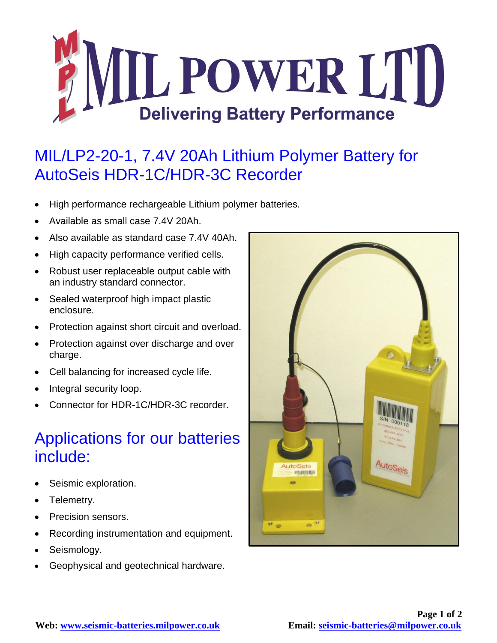

## MIL/LP2-20-1, 7.4V 20Ah Lithium Polymer Battery for AutoSeis HDR-1C/HDR-3C Recorder

- High performance rechargeable Lithium polymer batteries.
- Available as small case 7.4V 20Ah.
- Also available as standard case 7.4V 40Ah.
- High capacity performance verified cells.
- Robust user replaceable output cable with an industry standard connector.
- Sealed waterproof high impact plastic enclosure.
- Protection against short circuit and overload.
- Protection against over discharge and over charge.
- Cell balancing for increased cycle life.
- Integral security loop.
- Connector for HDR-1C/HDR-3C recorder.

## Applications for our batteries include:

- Seismic exploration.
- Telemetry.
- Precision sensors.
- Recording instrumentation and equipment.
- Seismology.
- Geophysical and geotechnical hardware.